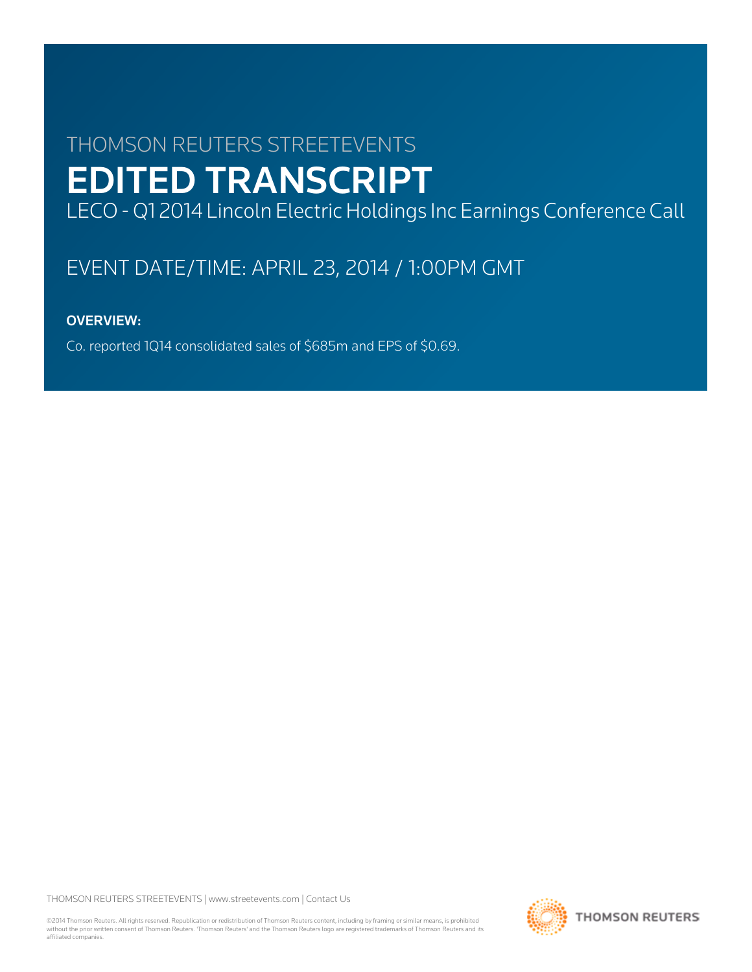# THOMSON REUTERS STREETEVENTS EDITED TRANSCRIPT

LECO - Q1 2014 Lincoln Electric Holdings Inc Earnings Conference Call

## EVENT DATE/TIME: APRIL 23, 2014 / 1:00PM GMT

## OVERVIEW:

Co. reported 1Q14 consolidated sales of \$685m and EPS of \$0.69.

THOMSON REUTERS STREETEVENTS | [www.streetevents.com](http://www.streetevents.com) | [Contact Us](http://www010.streetevents.com/contact.asp)

©2014 Thomson Reuters. All rights reserved. Republication or redistribution of Thomson Reuters content, including by framing or similar means, is prohibited without the prior written consent of Thomson Reuters. 'Thomson Reuters' and the Thomson Reuters logo are registered trademarks of Thomson Reuters and its affiliated companies.

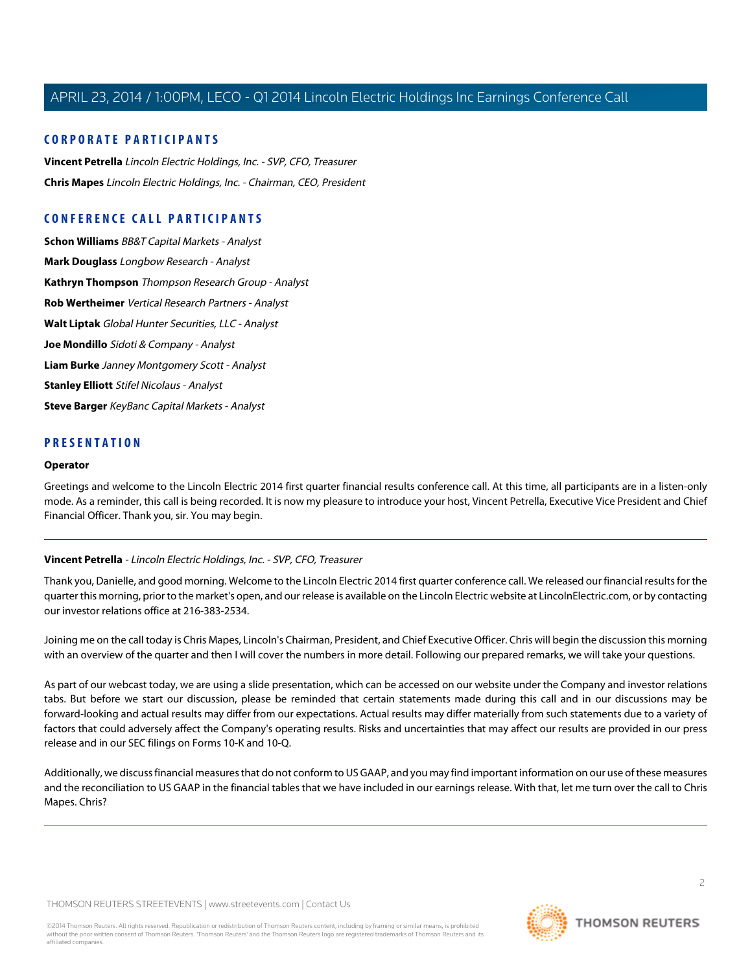#### **CORPORATE PARTICIPANTS**

**[Vincent Petrella](#page-1-0)** Lincoln Electric Holdings, Inc. - SVP, CFO, Treasurer **[Chris Mapes](#page-2-0)** Lincoln Electric Holdings, Inc. - Chairman, CEO, President

## **CONFERENCE CALL PARTICIPANTS**

**[Schon Williams](#page-5-0)** BB&T Capital Markets - Analyst **[Mark Douglass](#page-6-0)** Longbow Research - Analyst **[Kathryn Thompson](#page-6-1)** Thompson Research Group - Analyst **[Rob Wertheimer](#page-7-0)** Vertical Research Partners - Analyst **[Walt Liptak](#page-8-0)** Global Hunter Securities, LLC - Analyst **[Joe Mondillo](#page-9-0)** Sidoti & Company - Analyst **[Liam Burke](#page-11-0)** Janney Montgomery Scott - Analyst **[Stanley Elliott](#page-12-0)** Stifel Nicolaus - Analyst **[Steve Barger](#page-13-0)** KeyBanc Capital Markets - Analyst

#### **PRESENTATION**

#### **Operator**

<span id="page-1-0"></span>Greetings and welcome to the Lincoln Electric 2014 first quarter financial results conference call. At this time, all participants are in a listen-only mode. As a reminder, this call is being recorded. It is now my pleasure to introduce your host, Vincent Petrella, Executive Vice President and Chief Financial Officer. Thank you, sir. You may begin.

#### **Vincent Petrella** - Lincoln Electric Holdings, Inc. - SVP, CFO, Treasurer

Thank you, Danielle, and good morning. Welcome to the Lincoln Electric 2014 first quarter conference call. We released our financial results for the quarter this morning, prior to the market's open, and our release is available on the Lincoln Electric website at LincolnElectric.com, or by contacting our investor relations office at 216-383-2534.

Joining me on the call today is Chris Mapes, Lincoln's Chairman, President, and Chief Executive Officer. Chris will begin the discussion this morning with an overview of the quarter and then I will cover the numbers in more detail. Following our prepared remarks, we will take your questions.

As part of our webcast today, we are using a slide presentation, which can be accessed on our website under the Company and investor relations tabs. But before we start our discussion, please be reminded that certain statements made during this call and in our discussions may be forward-looking and actual results may differ from our expectations. Actual results may differ materially from such statements due to a variety of factors that could adversely affect the Company's operating results. Risks and uncertainties that may affect our results are provided in our press release and in our SEC filings on Forms 10-K and 10-Q.

Additionally, we discuss financial measures that do not conform to US GAAP, and you may find important information on our use of these measures and the reconciliation to US GAAP in the financial tables that we have included in our earnings release. With that, let me turn over the call to Chris Mapes. Chris?

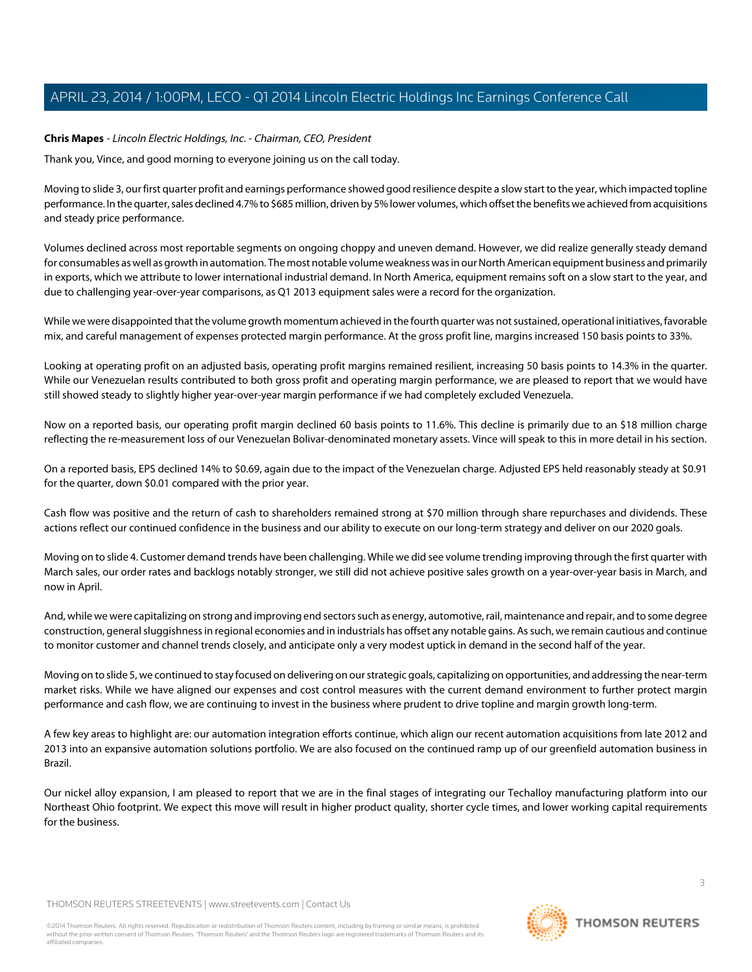#### <span id="page-2-0"></span>**Chris Mapes** - Lincoln Electric Holdings, Inc. - Chairman, CEO, President

Thank you, Vince, and good morning to everyone joining us on the call today.

Moving to slide 3, our first quarter profit and earnings performance showed good resilience despite a slow start to the year, which impacted topline performance. In the quarter, sales declined 4.7% to \$685 million, driven by 5% lower volumes, which offset the benefits we achieved from acquisitions and steady price performance.

Volumes declined across most reportable segments on ongoing choppy and uneven demand. However, we did realize generally steady demand for consumables as well as growth in automation. The most notable volume weakness was in our North American equipment business and primarily in exports, which we attribute to lower international industrial demand. In North America, equipment remains soft on a slow start to the year, and due to challenging year-over-year comparisons, as Q1 2013 equipment sales were a record for the organization.

While we were disappointed that the volume growth momentum achieved in the fourth quarter was not sustained, operational initiatives, favorable mix, and careful management of expenses protected margin performance. At the gross profit line, margins increased 150 basis points to 33%.

Looking at operating profit on an adjusted basis, operating profit margins remained resilient, increasing 50 basis points to 14.3% in the quarter. While our Venezuelan results contributed to both gross profit and operating margin performance, we are pleased to report that we would have still showed steady to slightly higher year-over-year margin performance if we had completely excluded Venezuela.

Now on a reported basis, our operating profit margin declined 60 basis points to 11.6%. This decline is primarily due to an \$18 million charge reflecting the re-measurement loss of our Venezuelan Bolivar-denominated monetary assets. Vince will speak to this in more detail in his section.

On a reported basis, EPS declined 14% to \$0.69, again due to the impact of the Venezuelan charge. Adjusted EPS held reasonably steady at \$0.91 for the quarter, down \$0.01 compared with the prior year.

Cash flow was positive and the return of cash to shareholders remained strong at \$70 million through share repurchases and dividends. These actions reflect our continued confidence in the business and our ability to execute on our long-term strategy and deliver on our 2020 goals.

Moving on to slide 4. Customer demand trends have been challenging. While we did see volume trending improving through the first quarter with March sales, our order rates and backlogs notably stronger, we still did not achieve positive sales growth on a year-over-year basis in March, and now in April.

And, while we were capitalizing on strong and improving end sectors such as energy, automotive, rail, maintenance and repair, and to some degree construction, general sluggishness in regional economies and in industrials has offset any notable gains. As such, we remain cautious and continue to monitor customer and channel trends closely, and anticipate only a very modest uptick in demand in the second half of the year.

Moving on to slide 5, we continued to stay focused on delivering on our strategic goals, capitalizing on opportunities, and addressing the near-term market risks. While we have aligned our expenses and cost control measures with the current demand environment to further protect margin performance and cash flow, we are continuing to invest in the business where prudent to drive topline and margin growth long-term.

A few key areas to highlight are: our automation integration efforts continue, which align our recent automation acquisitions from late 2012 and 2013 into an expansive automation solutions portfolio. We are also focused on the continued ramp up of our greenfield automation business in Brazil.

Our nickel alloy expansion, I am pleased to report that we are in the final stages of integrating our Techalloy manufacturing platform into our Northeast Ohio footprint. We expect this move will result in higher product quality, shorter cycle times, and lower working capital requirements for the business.

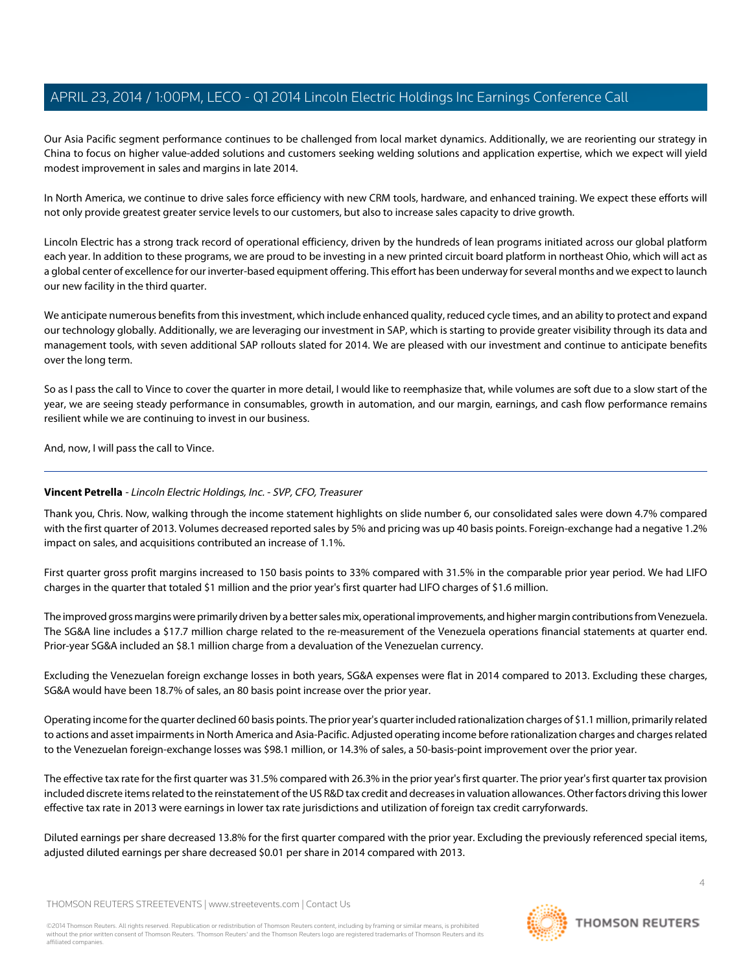Our Asia Pacific segment performance continues to be challenged from local market dynamics. Additionally, we are reorienting our strategy in China to focus on higher value-added solutions and customers seeking welding solutions and application expertise, which we expect will yield modest improvement in sales and margins in late 2014.

In North America, we continue to drive sales force efficiency with new CRM tools, hardware, and enhanced training. We expect these efforts will not only provide greatest greater service levels to our customers, but also to increase sales capacity to drive growth.

Lincoln Electric has a strong track record of operational efficiency, driven by the hundreds of lean programs initiated across our global platform each year. In addition to these programs, we are proud to be investing in a new printed circuit board platform in northeast Ohio, which will act as a global center of excellence for our inverter-based equipment offering. This effort has been underway for several months and we expect to launch our new facility in the third quarter.

We anticipate numerous benefits from this investment, which include enhanced quality, reduced cycle times, and an ability to protect and expand our technology globally. Additionally, we are leveraging our investment in SAP, which is starting to provide greater visibility through its data and management tools, with seven additional SAP rollouts slated for 2014. We are pleased with our investment and continue to anticipate benefits over the long term.

So as I pass the call to Vince to cover the quarter in more detail, I would like to reemphasize that, while volumes are soft due to a slow start of the year, we are seeing steady performance in consumables, growth in automation, and our margin, earnings, and cash flow performance remains resilient while we are continuing to invest in our business.

And, now, I will pass the call to Vince.

#### **Vincent Petrella** - Lincoln Electric Holdings, Inc. - SVP, CFO, Treasurer

Thank you, Chris. Now, walking through the income statement highlights on slide number 6, our consolidated sales were down 4.7% compared with the first quarter of 2013. Volumes decreased reported sales by 5% and pricing was up 40 basis points. Foreign-exchange had a negative 1.2% impact on sales, and acquisitions contributed an increase of 1.1%.

First quarter gross profit margins increased to 150 basis points to 33% compared with 31.5% in the comparable prior year period. We had LIFO charges in the quarter that totaled \$1 million and the prior year's first quarter had LIFO charges of \$1.6 million.

The improved gross margins were primarily driven by a better sales mix, operational improvements, and higher margin contributions from Venezuela. The SG&A line includes a \$17.7 million charge related to the re-measurement of the Venezuela operations financial statements at quarter end. Prior-year SG&A included an \$8.1 million charge from a devaluation of the Venezuelan currency.

Excluding the Venezuelan foreign exchange losses in both years, SG&A expenses were flat in 2014 compared to 2013. Excluding these charges, SG&A would have been 18.7% of sales, an 80 basis point increase over the prior year.

Operating income for the quarter declined 60 basis points. The prior year's quarter included rationalization charges of \$1.1 million, primarily related to actions and asset impairments in North America and Asia-Pacific. Adjusted operating income before rationalization charges and charges related to the Venezuelan foreign-exchange losses was \$98.1 million, or 14.3% of sales, a 50-basis-point improvement over the prior year.

The effective tax rate for the first quarter was 31.5% compared with 26.3% in the prior year's first quarter. The prior year's first quarter tax provision included discrete items related to the reinstatement of the US R&D tax credit and decreases in valuation allowances. Other factors driving this lower effective tax rate in 2013 were earnings in lower tax rate jurisdictions and utilization of foreign tax credit carryforwards.

Diluted earnings per share decreased 13.8% for the first quarter compared with the prior year. Excluding the previously referenced special items, adjusted diluted earnings per share decreased \$0.01 per share in 2014 compared with 2013.

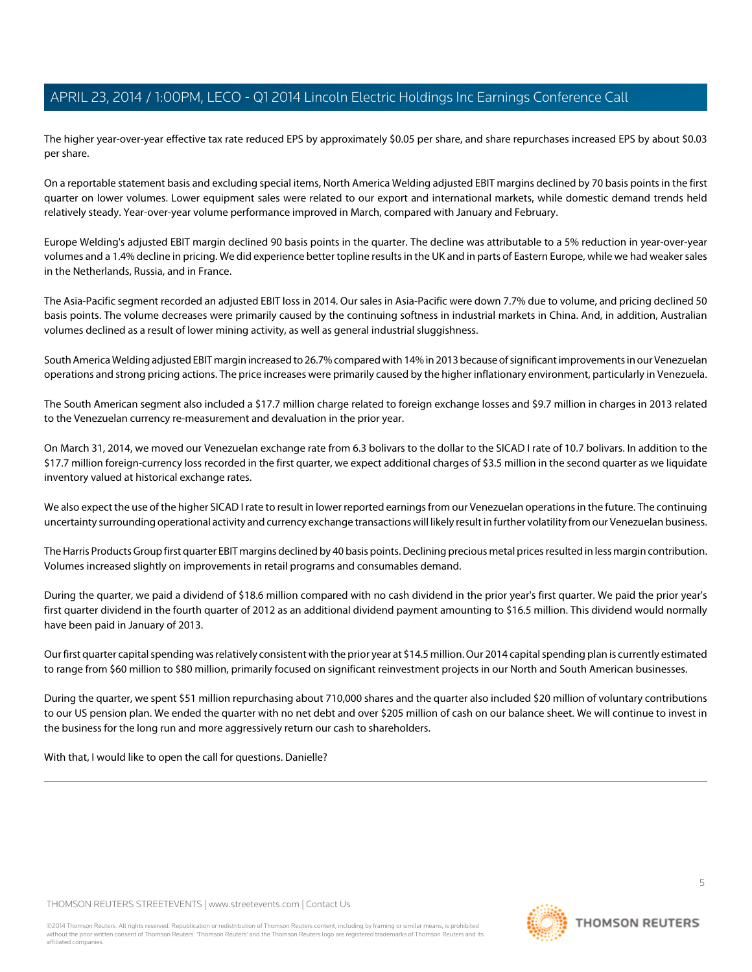The higher year-over-year effective tax rate reduced EPS by approximately \$0.05 per share, and share repurchases increased EPS by about \$0.03 per share.

On a reportable statement basis and excluding special items, North America Welding adjusted EBIT margins declined by 70 basis points in the first quarter on lower volumes. Lower equipment sales were related to our export and international markets, while domestic demand trends held relatively steady. Year-over-year volume performance improved in March, compared with January and February.

Europe Welding's adjusted EBIT margin declined 90 basis points in the quarter. The decline was attributable to a 5% reduction in year-over-year volumes and a 1.4% decline in pricing. We did experience better topline results in the UK and in parts of Eastern Europe, while we had weaker sales in the Netherlands, Russia, and in France.

The Asia-Pacific segment recorded an adjusted EBIT loss in 2014. Our sales in Asia-Pacific were down 7.7% due to volume, and pricing declined 50 basis points. The volume decreases were primarily caused by the continuing softness in industrial markets in China. And, in addition, Australian volumes declined as a result of lower mining activity, as well as general industrial sluggishness.

South America Welding adjusted EBIT margin increased to 26.7% compared with 14% in 2013 because of significant improvements in our Venezuelan operations and strong pricing actions. The price increases were primarily caused by the higher inflationary environment, particularly in Venezuela.

The South American segment also included a \$17.7 million charge related to foreign exchange losses and \$9.7 million in charges in 2013 related to the Venezuelan currency re-measurement and devaluation in the prior year.

On March 31, 2014, we moved our Venezuelan exchange rate from 6.3 bolivars to the dollar to the SICAD I rate of 10.7 bolivars. In addition to the \$17.7 million foreign-currency loss recorded in the first quarter, we expect additional charges of \$3.5 million in the second quarter as we liquidate inventory valued at historical exchange rates.

We also expect the use of the higher SICAD I rate to result in lower reported earnings from our Venezuelan operations in the future. The continuing uncertainty surrounding operational activity and currency exchange transactions will likely result in further volatility from our Venezuelan business.

The Harris Products Group first quarter EBIT margins declined by 40 basis points. Declining precious metal prices resulted in less margin contribution. Volumes increased slightly on improvements in retail programs and consumables demand.

During the quarter, we paid a dividend of \$18.6 million compared with no cash dividend in the prior year's first quarter. We paid the prior year's first quarter dividend in the fourth quarter of 2012 as an additional dividend payment amounting to \$16.5 million. This dividend would normally have been paid in January of 2013.

Our first quarter capital spending was relatively consistent with the prior year at \$14.5 million. Our 2014 capital spending plan is currently estimated to range from \$60 million to \$80 million, primarily focused on significant reinvestment projects in our North and South American businesses.

During the quarter, we spent \$51 million repurchasing about 710,000 shares and the quarter also included \$20 million of voluntary contributions to our US pension plan. We ended the quarter with no net debt and over \$205 million of cash on our balance sheet. We will continue to invest in the business for the long run and more aggressively return our cash to shareholders.

With that, I would like to open the call for questions. Danielle?

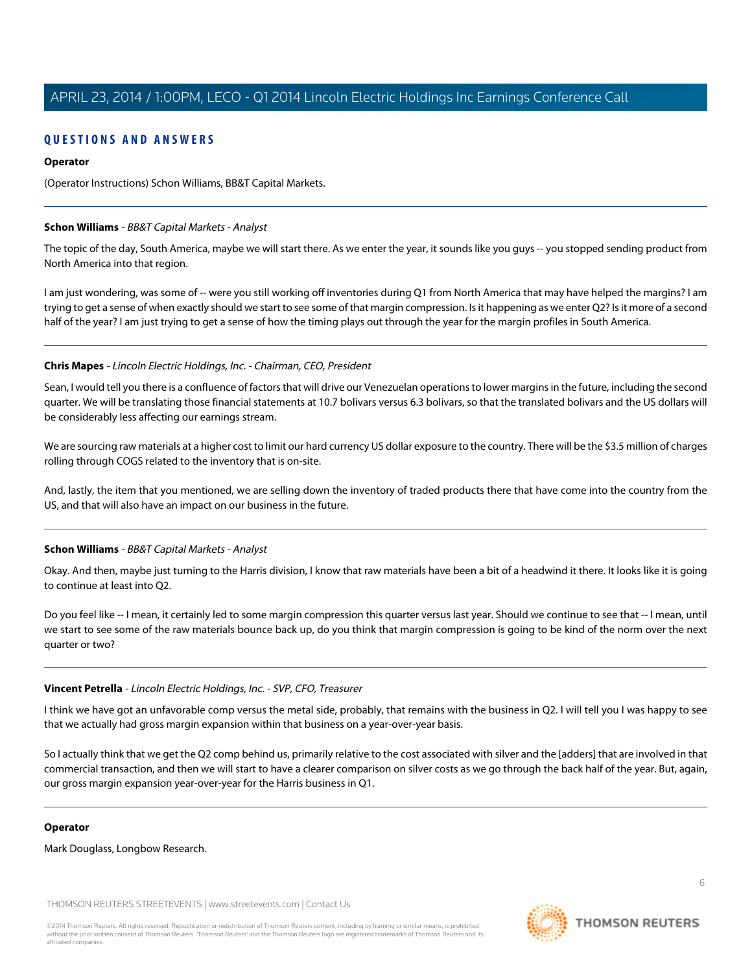### **QUESTIONS AND ANSWERS**

#### **Operator**

(Operator Instructions) Schon Williams, BB&T Capital Markets.

#### <span id="page-5-0"></span>**Schon Williams** - BB&T Capital Markets - Analyst

The topic of the day, South America, maybe we will start there. As we enter the year, it sounds like you guys -- you stopped sending product from North America into that region.

I am just wondering, was some of -- were you still working off inventories during Q1 from North America that may have helped the margins? I am trying to get a sense of when exactly should we start to see some of that margin compression. Is it happening as we enter Q2? Is it more of a second half of the year? I am just trying to get a sense of how the timing plays out through the year for the margin profiles in South America.

#### **Chris Mapes** - Lincoln Electric Holdings, Inc. - Chairman, CEO, President

Sean, I would tell you there is a confluence of factors that will drive our Venezuelan operations to lower margins in the future, including the second quarter. We will be translating those financial statements at 10.7 bolivars versus 6.3 bolivars, so that the translated bolivars and the US dollars will be considerably less affecting our earnings stream.

We are sourcing raw materials at a higher cost to limit our hard currency US dollar exposure to the country. There will be the \$3.5 million of charges rolling through COGS related to the inventory that is on-site.

And, lastly, the item that you mentioned, we are selling down the inventory of traded products there that have come into the country from the US, and that will also have an impact on our business in the future.

#### **Schon Williams** - BB&T Capital Markets - Analyst

Okay. And then, maybe just turning to the Harris division, I know that raw materials have been a bit of a headwind it there. It looks like it is going to continue at least into Q2.

Do you feel like -- I mean, it certainly led to some margin compression this quarter versus last year. Should we continue to see that -- I mean, until we start to see some of the raw materials bounce back up, do you think that margin compression is going to be kind of the norm over the next quarter or two?

#### **Vincent Petrella** - Lincoln Electric Holdings, Inc. - SVP, CFO, Treasurer

I think we have got an unfavorable comp versus the metal side, probably, that remains with the business in Q2. I will tell you I was happy to see that we actually had gross margin expansion within that business on a year-over-year basis.

So I actually think that we get the Q2 comp behind us, primarily relative to the cost associated with silver and the [adders] that are involved in that commercial transaction, and then we will start to have a clearer comparison on silver costs as we go through the back half of the year. But, again, our gross margin expansion year-over-year for the Harris business in Q1.

#### **Operator**

Mark Douglass, Longbow Research.

THOMSON REUTERS STREETEVENTS | [www.streetevents.com](http://www.streetevents.com) | [Contact Us](http://www010.streetevents.com/contact.asp)

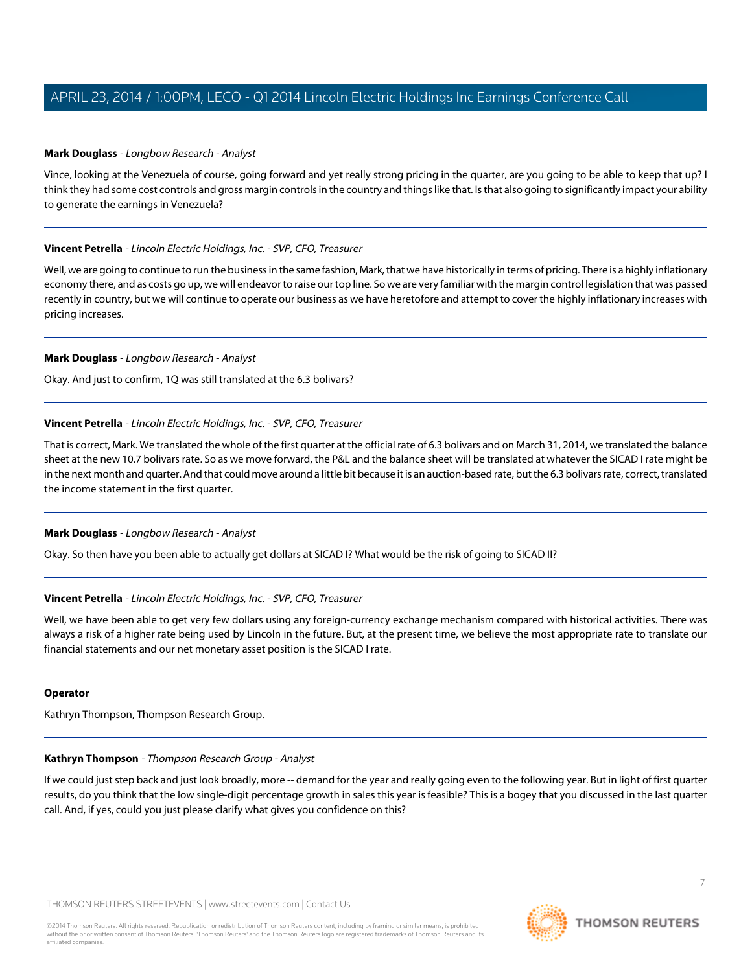#### <span id="page-6-0"></span>**Mark Douglass** - Longbow Research - Analyst

Vince, looking at the Venezuela of course, going forward and yet really strong pricing in the quarter, are you going to be able to keep that up? I think they had some cost controls and gross margin controls in the country and things like that. Is that also going to significantly impact your ability to generate the earnings in Venezuela?

#### **Vincent Petrella** - Lincoln Electric Holdings, Inc. - SVP, CFO, Treasurer

Well, we are going to continue to run the business in the same fashion, Mark, that we have historically in terms of pricing. There is a highly inflationary economy there, and as costs go up, we will endeavor to raise our top line. So we are very familiar with the margin control legislation that was passed recently in country, but we will continue to operate our business as we have heretofore and attempt to cover the highly inflationary increases with pricing increases.

#### **Mark Douglass** - Longbow Research - Analyst

Okay. And just to confirm, 1Q was still translated at the 6.3 bolivars?

#### **Vincent Petrella** - Lincoln Electric Holdings, Inc. - SVP, CFO, Treasurer

That is correct, Mark. We translated the whole of the first quarter at the official rate of 6.3 bolivars and on March 31, 2014, we translated the balance sheet at the new 10.7 bolivars rate. So as we move forward, the P&L and the balance sheet will be translated at whatever the SICAD I rate might be in the next month and quarter. And that could move around a little bit because it is an auction-based rate, but the 6.3 bolivars rate, correct, translated the income statement in the first quarter.

#### **Mark Douglass** - Longbow Research - Analyst

Okay. So then have you been able to actually get dollars at SICAD I? What would be the risk of going to SICAD II?

#### **Vincent Petrella** - Lincoln Electric Holdings, Inc. - SVP, CFO, Treasurer

Well, we have been able to get very few dollars using any foreign-currency exchange mechanism compared with historical activities. There was always a risk of a higher rate being used by Lincoln in the future. But, at the present time, we believe the most appropriate rate to translate our financial statements and our net monetary asset position is the SICAD I rate.

#### <span id="page-6-1"></span>**Operator**

Kathryn Thompson, Thompson Research Group.

#### **Kathryn Thompson** - Thompson Research Group - Analyst

If we could just step back and just look broadly, more -- demand for the year and really going even to the following year. But in light of first quarter results, do you think that the low single-digit percentage growth in sales this year is feasible? This is a bogey that you discussed in the last quarter call. And, if yes, could you just please clarify what gives you confidence on this?

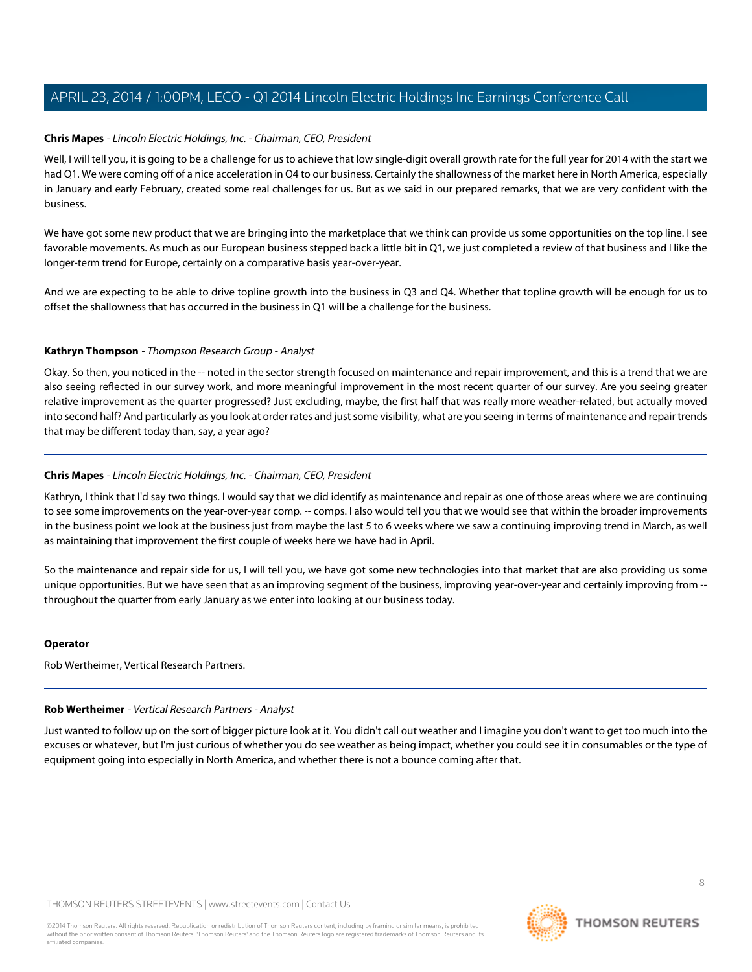#### **Chris Mapes** - Lincoln Electric Holdings, Inc. - Chairman, CEO, President

Well, I will tell you, it is going to be a challenge for us to achieve that low single-digit overall growth rate for the full year for 2014 with the start we had Q1. We were coming off of a nice acceleration in Q4 to our business. Certainly the shallowness of the market here in North America, especially in January and early February, created some real challenges for us. But as we said in our prepared remarks, that we are very confident with the business.

We have got some new product that we are bringing into the marketplace that we think can provide us some opportunities on the top line. I see favorable movements. As much as our European business stepped back a little bit in Q1, we just completed a review of that business and I like the longer-term trend for Europe, certainly on a comparative basis year-over-year.

And we are expecting to be able to drive topline growth into the business in Q3 and Q4. Whether that topline growth will be enough for us to offset the shallowness that has occurred in the business in Q1 will be a challenge for the business.

#### **Kathryn Thompson** - Thompson Research Group - Analyst

Okay. So then, you noticed in the -- noted in the sector strength focused on maintenance and repair improvement, and this is a trend that we are also seeing reflected in our survey work, and more meaningful improvement in the most recent quarter of our survey. Are you seeing greater relative improvement as the quarter progressed? Just excluding, maybe, the first half that was really more weather-related, but actually moved into second half? And particularly as you look at order rates and just some visibility, what are you seeing in terms of maintenance and repair trends that may be different today than, say, a year ago?

#### **Chris Mapes** - Lincoln Electric Holdings, Inc. - Chairman, CEO, President

Kathryn, I think that I'd say two things. I would say that we did identify as maintenance and repair as one of those areas where we are continuing to see some improvements on the year-over-year comp. -- comps. I also would tell you that we would see that within the broader improvements in the business point we look at the business just from maybe the last 5 to 6 weeks where we saw a continuing improving trend in March, as well as maintaining that improvement the first couple of weeks here we have had in April.

So the maintenance and repair side for us, I will tell you, we have got some new technologies into that market that are also providing us some unique opportunities. But we have seen that as an improving segment of the business, improving year-over-year and certainly improving from -throughout the quarter from early January as we enter into looking at our business today.

#### <span id="page-7-0"></span>**Operator**

Rob Wertheimer, Vertical Research Partners.

#### **Rob Wertheimer** - Vertical Research Partners - Analyst

Just wanted to follow up on the sort of bigger picture look at it. You didn't call out weather and I imagine you don't want to get too much into the excuses or whatever, but I'm just curious of whether you do see weather as being impact, whether you could see it in consumables or the type of equipment going into especially in North America, and whether there is not a bounce coming after that.

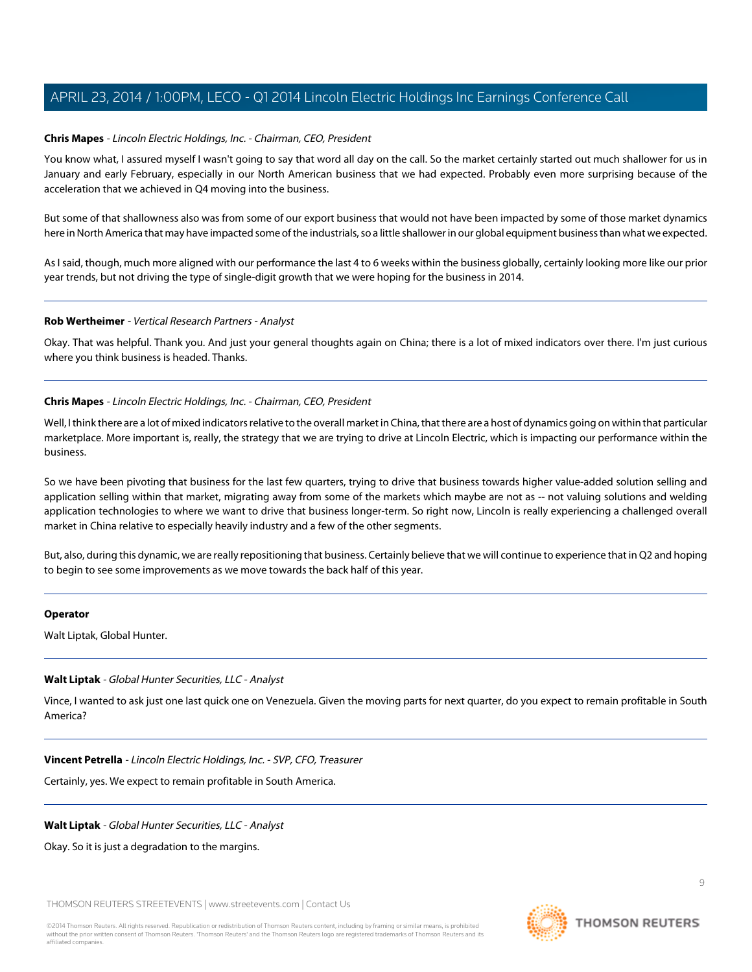#### **Chris Mapes** - Lincoln Electric Holdings, Inc. - Chairman, CEO, President

You know what, I assured myself I wasn't going to say that word all day on the call. So the market certainly started out much shallower for us in January and early February, especially in our North American business that we had expected. Probably even more surprising because of the acceleration that we achieved in Q4 moving into the business.

But some of that shallowness also was from some of our export business that would not have been impacted by some of those market dynamics here in North America that may have impacted some of the industrials, so a little shallower in our global equipment business than what we expected.

As I said, though, much more aligned with our performance the last 4 to 6 weeks within the business globally, certainly looking more like our prior year trends, but not driving the type of single-digit growth that we were hoping for the business in 2014.

#### **Rob Wertheimer** - Vertical Research Partners - Analyst

Okay. That was helpful. Thank you. And just your general thoughts again on China; there is a lot of mixed indicators over there. I'm just curious where you think business is headed. Thanks.

#### **Chris Mapes** - Lincoln Electric Holdings, Inc. - Chairman, CEO, President

Well, I think there are a lot of mixed indicators relative to the overall market in China, that there are a host of dynamics going on within that particular marketplace. More important is, really, the strategy that we are trying to drive at Lincoln Electric, which is impacting our performance within the business.

So we have been pivoting that business for the last few quarters, trying to drive that business towards higher value-added solution selling and application selling within that market, migrating away from some of the markets which maybe are not as -- not valuing solutions and welding application technologies to where we want to drive that business longer-term. So right now, Lincoln is really experiencing a challenged overall market in China relative to especially heavily industry and a few of the other segments.

But, also, during this dynamic, we are really repositioning that business. Certainly believe that we will continue to experience that in Q2 and hoping to begin to see some improvements as we move towards the back half of this year.

#### <span id="page-8-0"></span>**Operator**

Walt Liptak, Global Hunter.

#### **Walt Liptak** - Global Hunter Securities, LLC - Analyst

Vince, I wanted to ask just one last quick one on Venezuela. Given the moving parts for next quarter, do you expect to remain profitable in South America?

**Vincent Petrella** - Lincoln Electric Holdings, Inc. - SVP, CFO, Treasurer

Certainly, yes. We expect to remain profitable in South America.

#### **Walt Liptak** - Global Hunter Securities, LLC - Analyst

Okay. So it is just a degradation to the margins.

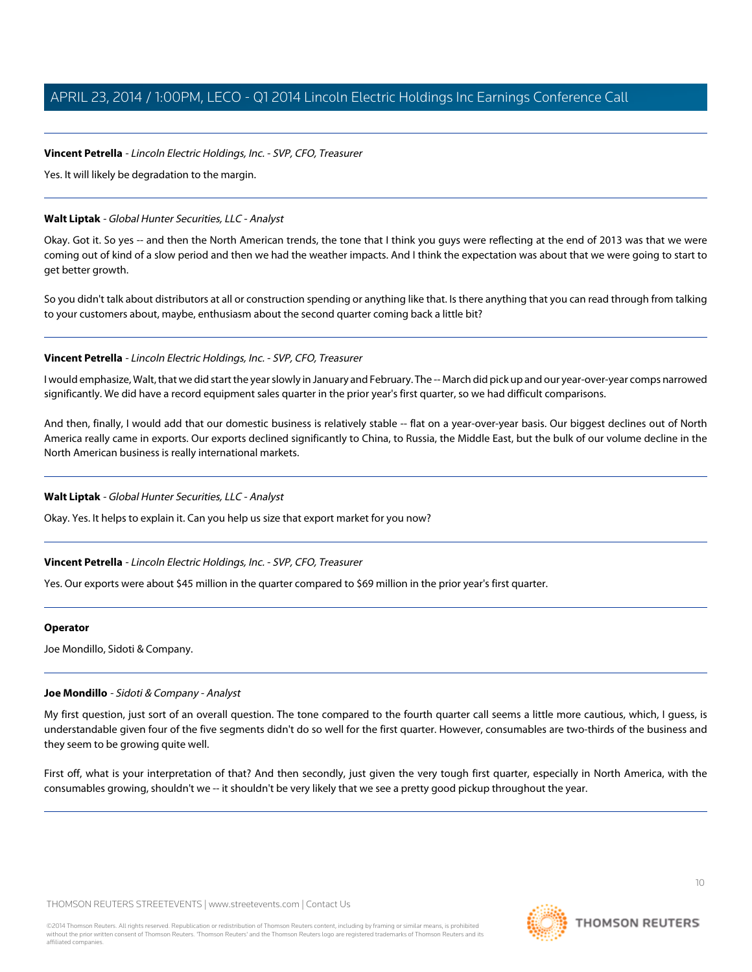#### **Vincent Petrella** - Lincoln Electric Holdings, Inc. - SVP, CFO, Treasurer

Yes. It will likely be degradation to the margin.

#### **Walt Liptak** - Global Hunter Securities, LLC - Analyst

Okay. Got it. So yes -- and then the North American trends, the tone that I think you guys were reflecting at the end of 2013 was that we were coming out of kind of a slow period and then we had the weather impacts. And I think the expectation was about that we were going to start to get better growth.

So you didn't talk about distributors at all or construction spending or anything like that. Is there anything that you can read through from talking to your customers about, maybe, enthusiasm about the second quarter coming back a little bit?

#### **Vincent Petrella** - Lincoln Electric Holdings, Inc. - SVP, CFO, Treasurer

I would emphasize, Walt, that we did start the year slowly in January and February. The -- March did pick up and our year-over-year comps narrowed significantly. We did have a record equipment sales quarter in the prior year's first quarter, so we had difficult comparisons.

And then, finally, I would add that our domestic business is relatively stable -- flat on a year-over-year basis. Our biggest declines out of North America really came in exports. Our exports declined significantly to China, to Russia, the Middle East, but the bulk of our volume decline in the North American business is really international markets.

#### **Walt Liptak** - Global Hunter Securities, LLC - Analyst

Okay. Yes. It helps to explain it. Can you help us size that export market for you now?

#### **Vincent Petrella** - Lincoln Electric Holdings, Inc. - SVP, CFO, Treasurer

Yes. Our exports were about \$45 million in the quarter compared to \$69 million in the prior year's first quarter.

#### <span id="page-9-0"></span>**Operator**

Joe Mondillo, Sidoti & Company.

#### **Joe Mondillo** - Sidoti & Company - Analyst

My first question, just sort of an overall question. The tone compared to the fourth quarter call seems a little more cautious, which, I guess, is understandable given four of the five segments didn't do so well for the first quarter. However, consumables are two-thirds of the business and they seem to be growing quite well.

First off, what is your interpretation of that? And then secondly, just given the very tough first quarter, especially in North America, with the consumables growing, shouldn't we -- it shouldn't be very likely that we see a pretty good pickup throughout the year.

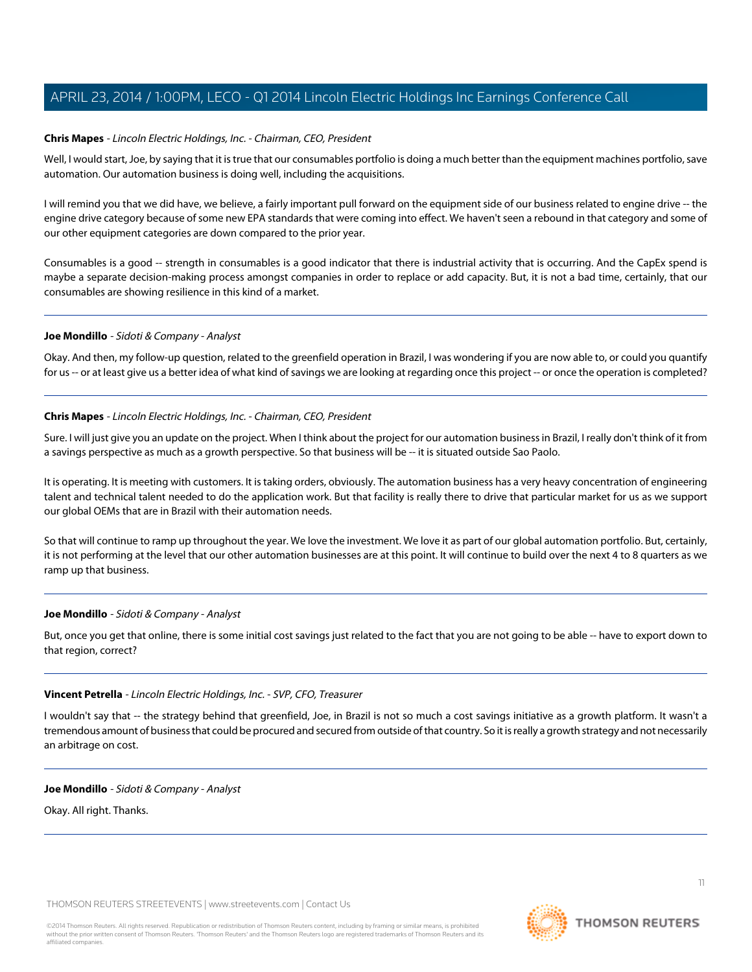#### **Chris Mapes** - Lincoln Electric Holdings, Inc. - Chairman, CEO, President

Well, I would start, Joe, by saying that it is true that our consumables portfolio is doing a much better than the equipment machines portfolio, save automation. Our automation business is doing well, including the acquisitions.

I will remind you that we did have, we believe, a fairly important pull forward on the equipment side of our business related to engine drive -- the engine drive category because of some new EPA standards that were coming into effect. We haven't seen a rebound in that category and some of our other equipment categories are down compared to the prior year.

Consumables is a good -- strength in consumables is a good indicator that there is industrial activity that is occurring. And the CapEx spend is maybe a separate decision-making process amongst companies in order to replace or add capacity. But, it is not a bad time, certainly, that our consumables are showing resilience in this kind of a market.

#### **Joe Mondillo** - Sidoti & Company - Analyst

Okay. And then, my follow-up question, related to the greenfield operation in Brazil, I was wondering if you are now able to, or could you quantify for us -- or at least give us a better idea of what kind of savings we are looking at regarding once this project -- or once the operation is completed?

#### **Chris Mapes** - Lincoln Electric Holdings, Inc. - Chairman, CEO, President

Sure. I will just give you an update on the project. When I think about the project for our automation business in Brazil, I really don't think of it from a savings perspective as much as a growth perspective. So that business will be -- it is situated outside Sao Paolo.

It is operating. It is meeting with customers. It is taking orders, obviously. The automation business has a very heavy concentration of engineering talent and technical talent needed to do the application work. But that facility is really there to drive that particular market for us as we support our global OEMs that are in Brazil with their automation needs.

So that will continue to ramp up throughout the year. We love the investment. We love it as part of our global automation portfolio. But, certainly, it is not performing at the level that our other automation businesses are at this point. It will continue to build over the next 4 to 8 quarters as we ramp up that business.

#### **Joe Mondillo** - Sidoti & Company - Analyst

But, once you get that online, there is some initial cost savings just related to the fact that you are not going to be able -- have to export down to that region, correct?

#### **Vincent Petrella** - Lincoln Electric Holdings, Inc. - SVP, CFO, Treasurer

I wouldn't say that -- the strategy behind that greenfield, Joe, in Brazil is not so much a cost savings initiative as a growth platform. It wasn't a tremendous amount of business that could be procured and secured from outside of that country. So it is really a growth strategy and not necessarily an arbitrage on cost.

#### **Joe Mondillo** - Sidoti & Company - Analyst

Okay. All right. Thanks.

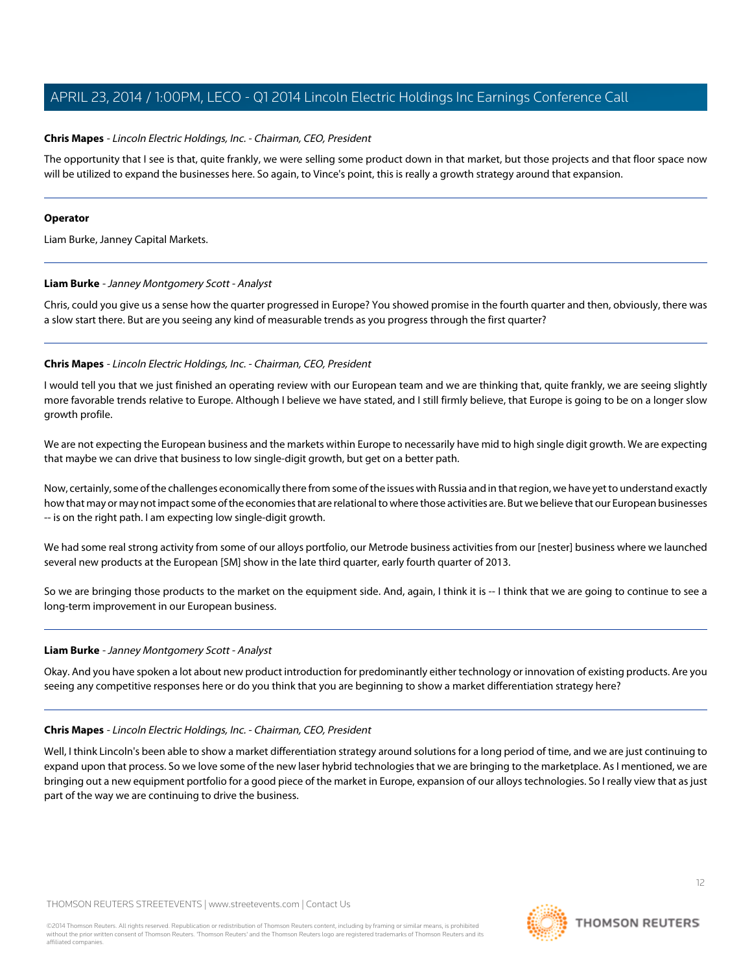#### **Chris Mapes** - Lincoln Electric Holdings, Inc. - Chairman, CEO, President

The opportunity that I see is that, quite frankly, we were selling some product down in that market, but those projects and that floor space now will be utilized to expand the businesses here. So again, to Vince's point, this is really a growth strategy around that expansion.

#### **Operator**

<span id="page-11-0"></span>Liam Burke, Janney Capital Markets.

#### **Liam Burke** - Janney Montgomery Scott - Analyst

Chris, could you give us a sense how the quarter progressed in Europe? You showed promise in the fourth quarter and then, obviously, there was a slow start there. But are you seeing any kind of measurable trends as you progress through the first quarter?

#### **Chris Mapes** - Lincoln Electric Holdings, Inc. - Chairman, CEO, President

I would tell you that we just finished an operating review with our European team and we are thinking that, quite frankly, we are seeing slightly more favorable trends relative to Europe. Although I believe we have stated, and I still firmly believe, that Europe is going to be on a longer slow growth profile.

We are not expecting the European business and the markets within Europe to necessarily have mid to high single digit growth. We are expecting that maybe we can drive that business to low single-digit growth, but get on a better path.

Now, certainly, some of the challenges economically there from some of the issues with Russia and in that region, we have yet to understand exactly how that may or may not impact some of the economies that are relational to where those activities are. But we believe that our European businesses -- is on the right path. I am expecting low single-digit growth.

We had some real strong activity from some of our alloys portfolio, our Metrode business activities from our [nester] business where we launched several new products at the European [SM] show in the late third quarter, early fourth quarter of 2013.

So we are bringing those products to the market on the equipment side. And, again, I think it is -- I think that we are going to continue to see a long-term improvement in our European business.

#### **Liam Burke** - Janney Montgomery Scott - Analyst

Okay. And you have spoken a lot about new product introduction for predominantly either technology or innovation of existing products. Are you seeing any competitive responses here or do you think that you are beginning to show a market differentiation strategy here?

#### **Chris Mapes** - Lincoln Electric Holdings, Inc. - Chairman, CEO, President

Well, I think Lincoln's been able to show a market differentiation strategy around solutions for a long period of time, and we are just continuing to expand upon that process. So we love some of the new laser hybrid technologies that we are bringing to the marketplace. As I mentioned, we are bringing out a new equipment portfolio for a good piece of the market in Europe, expansion of our alloys technologies. So I really view that as just part of the way we are continuing to drive the business.

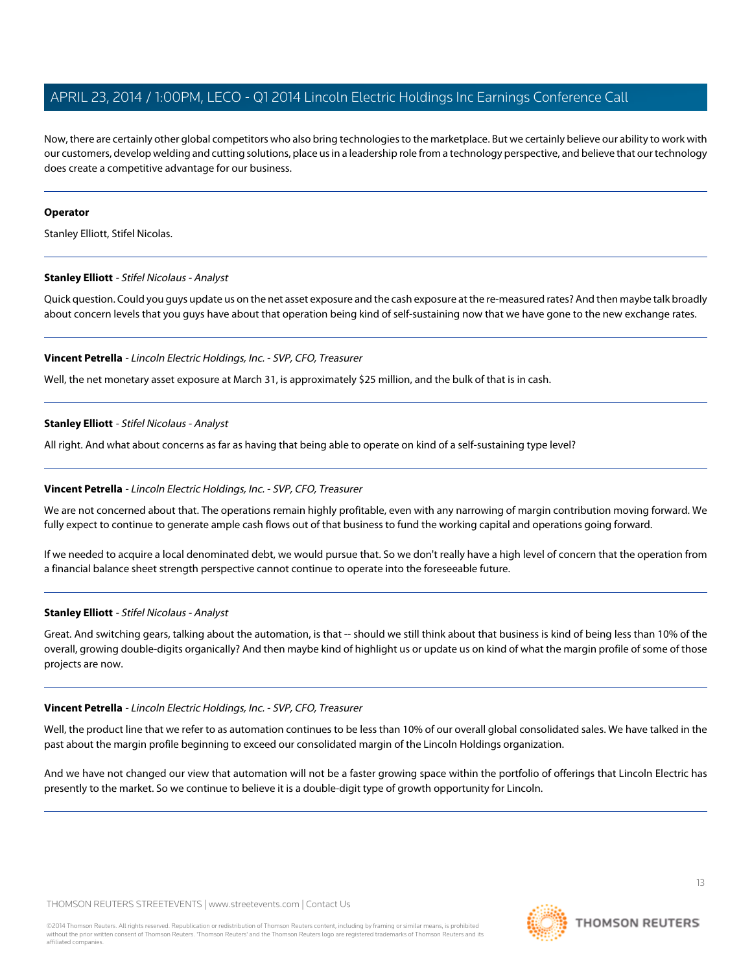Now, there are certainly other global competitors who also bring technologies to the marketplace. But we certainly believe our ability to work with our customers, develop welding and cutting solutions, place us in a leadership role from a technology perspective, and believe that our technology does create a competitive advantage for our business.

#### **Operator**

<span id="page-12-0"></span>Stanley Elliott, Stifel Nicolas.

#### **Stanley Elliott** - Stifel Nicolaus - Analyst

Quick question. Could you guys update us on the net asset exposure and the cash exposure at the re-measured rates? And then maybe talk broadly about concern levels that you guys have about that operation being kind of self-sustaining now that we have gone to the new exchange rates.

#### **Vincent Petrella** - Lincoln Electric Holdings, Inc. - SVP, CFO, Treasurer

Well, the net monetary asset exposure at March 31, is approximately \$25 million, and the bulk of that is in cash.

#### **Stanley Elliott** - Stifel Nicolaus - Analyst

All right. And what about concerns as far as having that being able to operate on kind of a self-sustaining type level?

#### **Vincent Petrella** - Lincoln Electric Holdings, Inc. - SVP, CFO, Treasurer

We are not concerned about that. The operations remain highly profitable, even with any narrowing of margin contribution moving forward. We fully expect to continue to generate ample cash flows out of that business to fund the working capital and operations going forward.

If we needed to acquire a local denominated debt, we would pursue that. So we don't really have a high level of concern that the operation from a financial balance sheet strength perspective cannot continue to operate into the foreseeable future.

#### **Stanley Elliott** - Stifel Nicolaus - Analyst

Great. And switching gears, talking about the automation, is that -- should we still think about that business is kind of being less than 10% of the overall, growing double-digits organically? And then maybe kind of highlight us or update us on kind of what the margin profile of some of those projects are now.

#### **Vincent Petrella** - Lincoln Electric Holdings, Inc. - SVP, CFO, Treasurer

Well, the product line that we refer to as automation continues to be less than 10% of our overall global consolidated sales. We have talked in the past about the margin profile beginning to exceed our consolidated margin of the Lincoln Holdings organization.

And we have not changed our view that automation will not be a faster growing space within the portfolio of offerings that Lincoln Electric has presently to the market. So we continue to believe it is a double-digit type of growth opportunity for Lincoln.

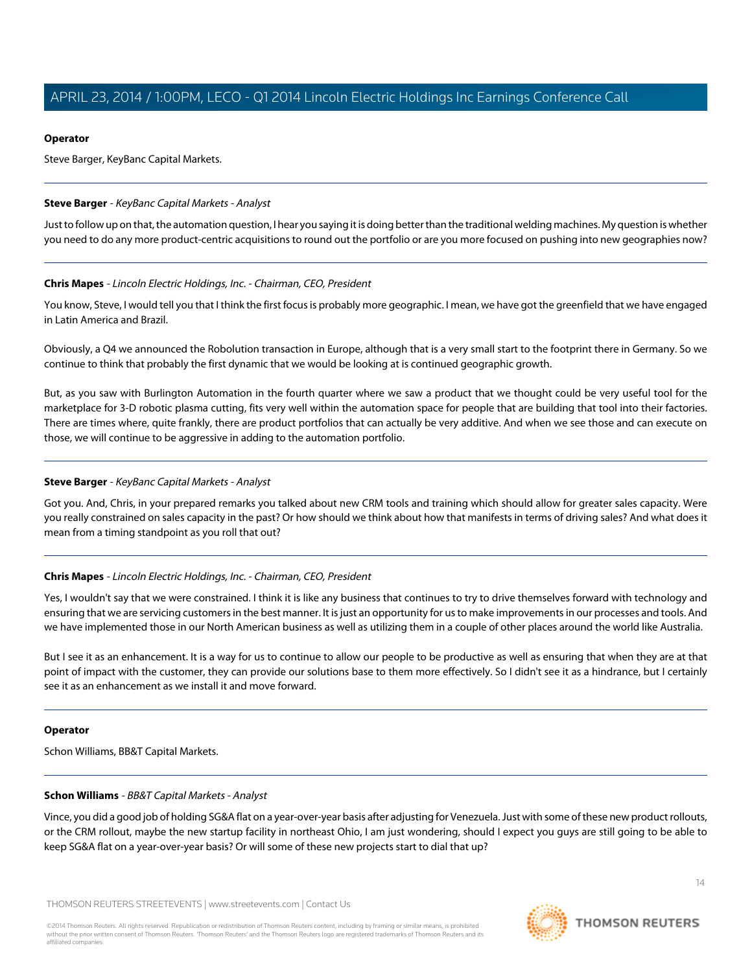#### **Operator**

Steve Barger, KeyBanc Capital Markets.

#### <span id="page-13-0"></span>**Steve Barger** - KeyBanc Capital Markets - Analyst

Just to follow up on that, the automation question, I hear you saying it is doing better than the traditional welding machines. My question is whether you need to do any more product-centric acquisitions to round out the portfolio or are you more focused on pushing into new geographies now?

#### **Chris Mapes** - Lincoln Electric Holdings, Inc. - Chairman, CEO, President

You know, Steve, I would tell you that I think the first focus is probably more geographic. I mean, we have got the greenfield that we have engaged in Latin America and Brazil.

Obviously, a Q4 we announced the Robolution transaction in Europe, although that is a very small start to the footprint there in Germany. So we continue to think that probably the first dynamic that we would be looking at is continued geographic growth.

But, as you saw with Burlington Automation in the fourth quarter where we saw a product that we thought could be very useful tool for the marketplace for 3-D robotic plasma cutting, fits very well within the automation space for people that are building that tool into their factories. There are times where, quite frankly, there are product portfolios that can actually be very additive. And when we see those and can execute on those, we will continue to be aggressive in adding to the automation portfolio.

#### **Steve Barger** - KeyBanc Capital Markets - Analyst

Got you. And, Chris, in your prepared remarks you talked about new CRM tools and training which should allow for greater sales capacity. Were you really constrained on sales capacity in the past? Or how should we think about how that manifests in terms of driving sales? And what does it mean from a timing standpoint as you roll that out?

#### **Chris Mapes** - Lincoln Electric Holdings, Inc. - Chairman, CEO, President

Yes, I wouldn't say that we were constrained. I think it is like any business that continues to try to drive themselves forward with technology and ensuring that we are servicing customers in the best manner. It is just an opportunity for us to make improvements in our processes and tools. And we have implemented those in our North American business as well as utilizing them in a couple of other places around the world like Australia.

But I see it as an enhancement. It is a way for us to continue to allow our people to be productive as well as ensuring that when they are at that point of impact with the customer, they can provide our solutions base to them more effectively. So I didn't see it as a hindrance, but I certainly see it as an enhancement as we install it and move forward.

#### **Operator**

Schon Williams, BB&T Capital Markets.

#### **Schon Williams** - BB&T Capital Markets - Analyst

Vince, you did a good job of holding SG&A flat on a year-over-year basis after adjusting for Venezuela. Just with some of these new product rollouts, or the CRM rollout, maybe the new startup facility in northeast Ohio, I am just wondering, should I expect you guys are still going to be able to keep SG&A flat on a year-over-year basis? Or will some of these new projects start to dial that up?

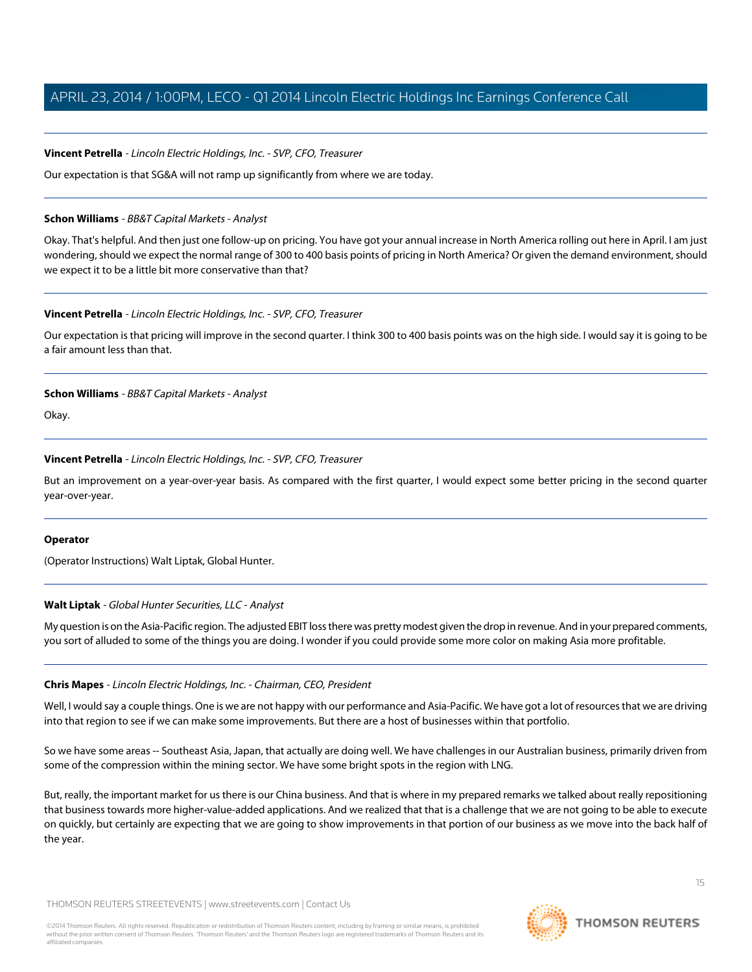#### **Vincent Petrella** - Lincoln Electric Holdings, Inc. - SVP, CFO, Treasurer

Our expectation is that SG&A will not ramp up significantly from where we are today.

#### **Schon Williams** - BB&T Capital Markets - Analyst

Okay. That's helpful. And then just one follow-up on pricing. You have got your annual increase in North America rolling out here in April. I am just wondering, should we expect the normal range of 300 to 400 basis points of pricing in North America? Or given the demand environment, should we expect it to be a little bit more conservative than that?

#### **Vincent Petrella** - Lincoln Electric Holdings, Inc. - SVP, CFO, Treasurer

Our expectation is that pricing will improve in the second quarter. I think 300 to 400 basis points was on the high side. I would say it is going to be a fair amount less than that.

#### **Schon Williams** - BB&T Capital Markets - Analyst

Okay.

#### **Vincent Petrella** - Lincoln Electric Holdings, Inc. - SVP, CFO, Treasurer

But an improvement on a year-over-year basis. As compared with the first quarter, I would expect some better pricing in the second quarter year-over-year.

#### **Operator**

(Operator Instructions) Walt Liptak, Global Hunter.

#### **Walt Liptak** - Global Hunter Securities, LLC - Analyst

My question is on the Asia-Pacific region. The adjusted EBIT loss there was pretty modest given the drop in revenue. And in your prepared comments, you sort of alluded to some of the things you are doing. I wonder if you could provide some more color on making Asia more profitable.

#### **Chris Mapes** - Lincoln Electric Holdings, Inc. - Chairman, CEO, President

Well, I would say a couple things. One is we are not happy with our performance and Asia-Pacific. We have got a lot of resources that we are driving into that region to see if we can make some improvements. But there are a host of businesses within that portfolio.

So we have some areas -- Southeast Asia, Japan, that actually are doing well. We have challenges in our Australian business, primarily driven from some of the compression within the mining sector. We have some bright spots in the region with LNG.

But, really, the important market for us there is our China business. And that is where in my prepared remarks we talked about really repositioning that business towards more higher-value-added applications. And we realized that that is a challenge that we are not going to be able to execute on quickly, but certainly are expecting that we are going to show improvements in that portion of our business as we move into the back half of the year.

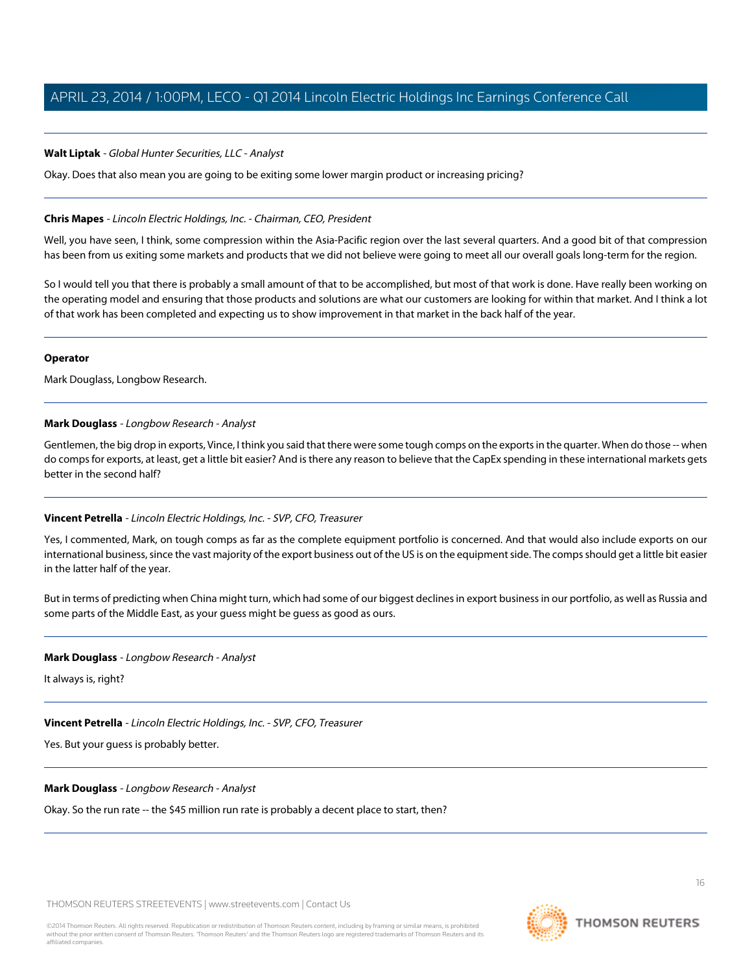#### **Walt Liptak** - Global Hunter Securities, LLC - Analyst

Okay. Does that also mean you are going to be exiting some lower margin product or increasing pricing?

#### **Chris Mapes** - Lincoln Electric Holdings, Inc. - Chairman, CEO, President

Well, you have seen, I think, some compression within the Asia-Pacific region over the last several quarters. And a good bit of that compression has been from us exiting some markets and products that we did not believe were going to meet all our overall goals long-term for the region.

So I would tell you that there is probably a small amount of that to be accomplished, but most of that work is done. Have really been working on the operating model and ensuring that those products and solutions are what our customers are looking for within that market. And I think a lot of that work has been completed and expecting us to show improvement in that market in the back half of the year.

#### **Operator**

Mark Douglass, Longbow Research.

#### **Mark Douglass** - Longbow Research - Analyst

Gentlemen, the big drop in exports, Vince, I think you said that there were some tough comps on the exports in the quarter. When do those -- when do comps for exports, at least, get a little bit easier? And is there any reason to believe that the CapEx spending in these international markets gets better in the second half?

#### **Vincent Petrella** - Lincoln Electric Holdings, Inc. - SVP, CFO, Treasurer

Yes, I commented, Mark, on tough comps as far as the complete equipment portfolio is concerned. And that would also include exports on our international business, since the vast majority of the export business out of the US is on the equipment side. The comps should get a little bit easier in the latter half of the year.

But in terms of predicting when China might turn, which had some of our biggest declines in export business in our portfolio, as well as Russia and some parts of the Middle East, as your guess might be guess as good as ours.

#### **Mark Douglass** - Longbow Research - Analyst

It always is, right?

## **Vincent Petrella** - Lincoln Electric Holdings, Inc. - SVP, CFO, Treasurer

Yes. But your guess is probably better.

#### **Mark Douglass** - Longbow Research - Analyst

Okay. So the run rate -- the \$45 million run rate is probably a decent place to start, then?

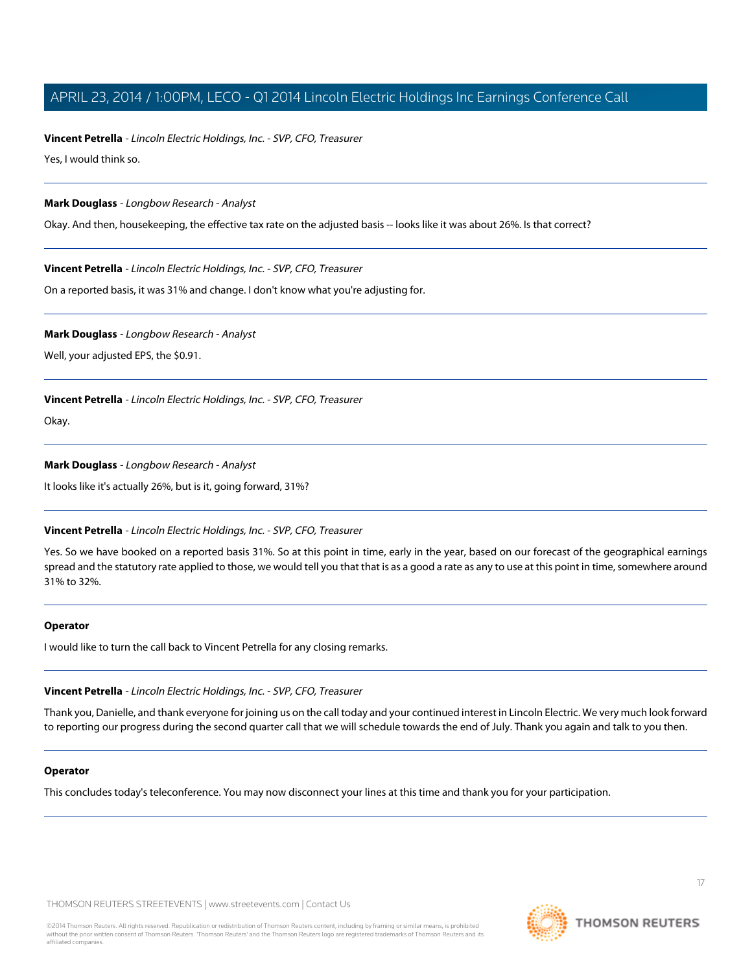#### **Vincent Petrella** - Lincoln Electric Holdings, Inc. - SVP, CFO, Treasurer

Yes, I would think so.

#### **Mark Douglass** - Longbow Research - Analyst

Okay. And then, housekeeping, the effective tax rate on the adjusted basis -- looks like it was about 26%. Is that correct?

#### **Vincent Petrella** - Lincoln Electric Holdings, Inc. - SVP, CFO, Treasurer

On a reported basis, it was 31% and change. I don't know what you're adjusting for.

#### **Mark Douglass** - Longbow Research - Analyst

Well, your adjusted EPS, the \$0.91.

#### **Vincent Petrella** - Lincoln Electric Holdings, Inc. - SVP, CFO, Treasurer

Okay.

#### **Mark Douglass** - Longbow Research - Analyst

It looks like it's actually 26%, but is it, going forward, 31%?

#### **Vincent Petrella** - Lincoln Electric Holdings, Inc. - SVP, CFO, Treasurer

Yes. So we have booked on a reported basis 31%. So at this point in time, early in the year, based on our forecast of the geographical earnings spread and the statutory rate applied to those, we would tell you that that is as a good a rate as any to use at this point in time, somewhere around 31% to 32%.

#### **Operator**

I would like to turn the call back to Vincent Petrella for any closing remarks.

#### **Vincent Petrella** - Lincoln Electric Holdings, Inc. - SVP, CFO, Treasurer

Thank you, Danielle, and thank everyone for joining us on the call today and your continued interest in Lincoln Electric. We very much look forward to reporting our progress during the second quarter call that we will schedule towards the end of July. Thank you again and talk to you then.

#### **Operator**

This concludes today's teleconference. You may now disconnect your lines at this time and thank you for your participation.